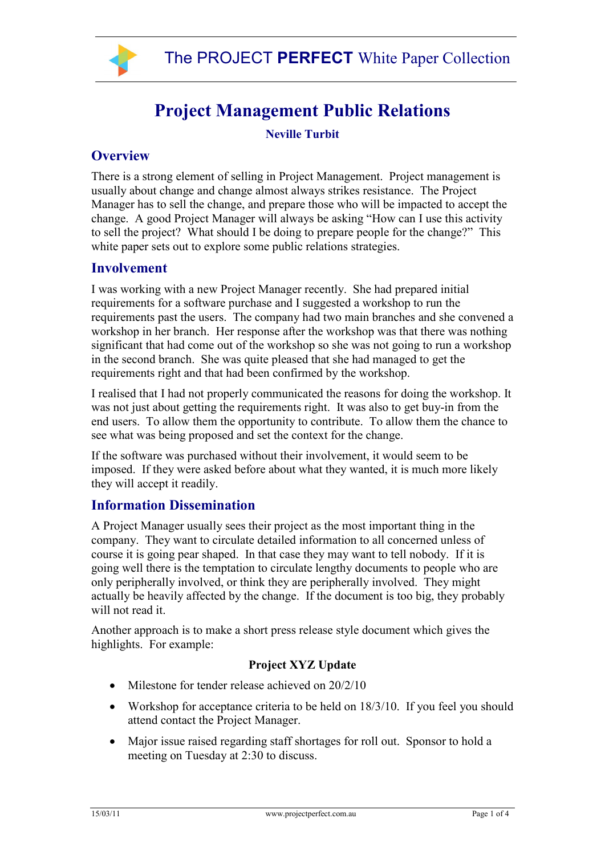

# **Project Management Public Relations**

**Neville Turbit** 

## **Overview**

There is a strong element of selling in Project Management. Project management is usually about change and change almost always strikes resistance. The Project Manager has to sell the change, and prepare those who will be impacted to accept the change. A good Project Manager will always be asking "How can I use this activity to sell the project? What should I be doing to prepare people for the change?" This white paper sets out to explore some public relations strategies.

## **Involvement**

I was working with a new Project Manager recently. She had prepared initial requirements for a software purchase and I suggested a workshop to run the requirements past the users. The company had two main branches and she convened a workshop in her branch. Her response after the workshop was that there was nothing significant that had come out of the workshop so she was not going to run a workshop in the second branch. She was quite pleased that she had managed to get the requirements right and that had been confirmed by the workshop.

I realised that I had not properly communicated the reasons for doing the workshop. It was not just about getting the requirements right. It was also to get buy-in from the end users. To allow them the opportunity to contribute. To allow them the chance to see what was being proposed and set the context for the change.

If the software was purchased without their involvement, it would seem to be imposed. If they were asked before about what they wanted, it is much more likely they will accept it readily.

## **Information Dissemination**

A Project Manager usually sees their project as the most important thing in the company. They want to circulate detailed information to all concerned unless of course it is going pear shaped. In that case they may want to tell nobody. If it is going well there is the temptation to circulate lengthy documents to people who are only peripherally involved, or think they are peripherally involved. They might actually be heavily affected by the change. If the document is too big, they probably will not read it.

Another approach is to make a short press release style document which gives the highlights. For example:

## **Project XYZ Update**

- Milestone for tender release achieved on  $20/2/10$
- Workshop for acceptance criteria to be held on 18/3/10. If you feel you should attend contact the Project Manager.
- Major issue raised regarding staff shortages for roll out. Sponsor to hold a meeting on Tuesday at 2:30 to discuss.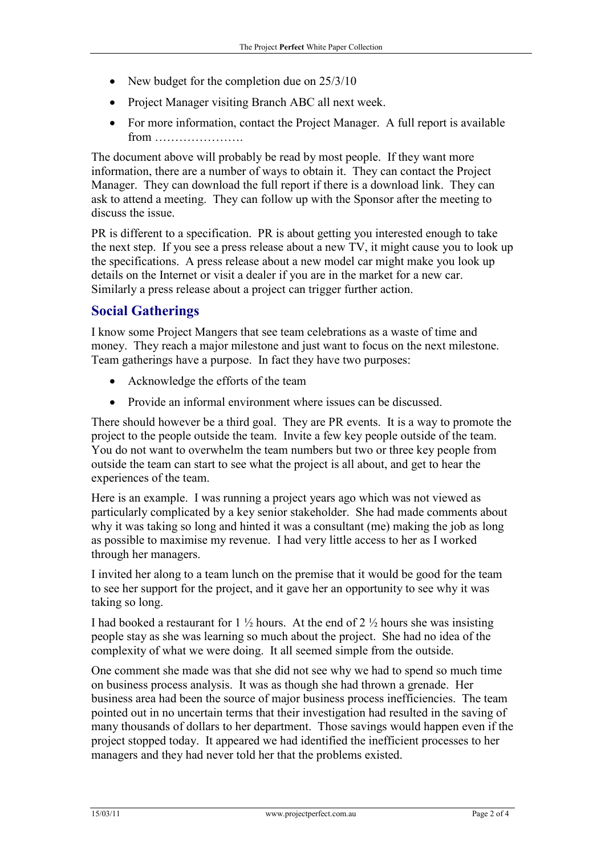- New budget for the completion due on  $25/3/10$
- Project Manager visiting Branch ABC all next week.
- For more information, contact the Project Manager. A full report is available from ………………….

The document above will probably be read by most people. If they want more information, there are a number of ways to obtain it. They can contact the Project Manager. They can download the full report if there is a download link. They can ask to attend a meeting. They can follow up with the Sponsor after the meeting to discuss the issue.

PR is different to a specification. PR is about getting you interested enough to take the next step. If you see a press release about a new TV, it might cause you to look up the specifications. A press release about a new model car might make you look up details on the Internet or visit a dealer if you are in the market for a new car. Similarly a press release about a project can trigger further action.

# **Social Gatherings**

I know some Project Mangers that see team celebrations as a waste of time and money. They reach a major milestone and just want to focus on the next milestone. Team gatherings have a purpose. In fact they have two purposes:

- Acknowledge the efforts of the team
- Provide an informal environment where issues can be discussed.

There should however be a third goal. They are PR events. It is a way to promote the project to the people outside the team. Invite a few key people outside of the team. You do not want to overwhelm the team numbers but two or three key people from outside the team can start to see what the project is all about, and get to hear the experiences of the team.

Here is an example. I was running a project years ago which was not viewed as particularly complicated by a key senior stakeholder. She had made comments about why it was taking so long and hinted it was a consultant (me) making the job as long as possible to maximise my revenue. I had very little access to her as I worked through her managers.

I invited her along to a team lunch on the premise that it would be good for the team to see her support for the project, and it gave her an opportunity to see why it was taking so long.

I had booked a restaurant for  $1\frac{1}{2}$  hours. At the end of  $2\frac{1}{2}$  hours she was insisting people stay as she was learning so much about the project. She had no idea of the complexity of what we were doing. It all seemed simple from the outside.

One comment she made was that she did not see why we had to spend so much time on business process analysis. It was as though she had thrown a grenade. Her business area had been the source of major business process inefficiencies. The team pointed out in no uncertain terms that their investigation had resulted in the saving of many thousands of dollars to her department. Those savings would happen even if the project stopped today. It appeared we had identified the inefficient processes to her managers and they had never told her that the problems existed.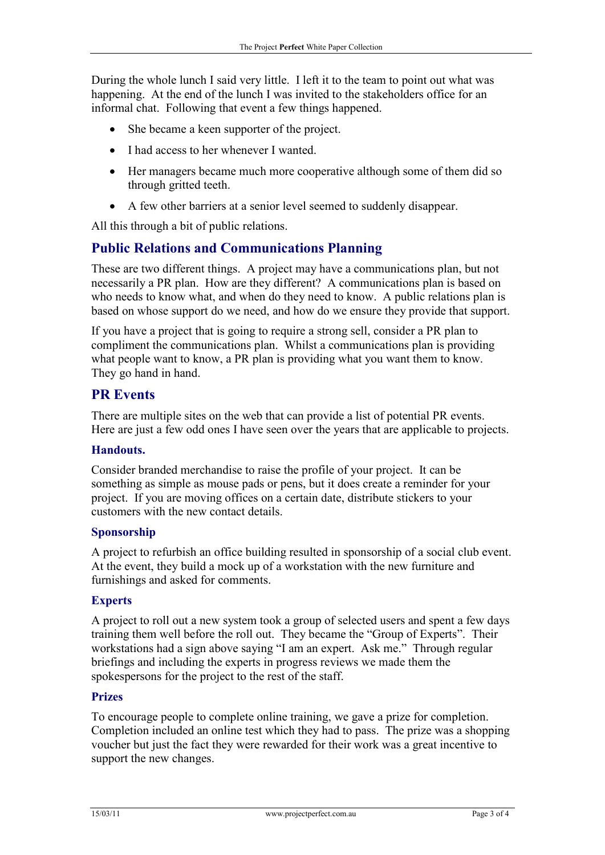During the whole lunch I said very little. I left it to the team to point out what was happening. At the end of the lunch I was invited to the stakeholders office for an informal chat. Following that event a few things happened.

- She became a keen supporter of the project.
- I had access to her whenever I wanted.
- Her managers became much more cooperative although some of them did so through gritted teeth.
- A few other barriers at a senior level seemed to suddenly disappear.

All this through a bit of public relations.

# **Public Relations and Communications Planning**

These are two different things. A project may have a communications plan, but not necessarily a PR plan. How are they different? A communications plan is based on who needs to know what, and when do they need to know. A public relations plan is based on whose support do we need, and how do we ensure they provide that support.

If you have a project that is going to require a strong sell, consider a PR plan to compliment the communications plan. Whilst a communications plan is providing what people want to know, a PR plan is providing what you want them to know. They go hand in hand.

## **PR Events**

There are multiple sites on the web that can provide a list of potential PR events. Here are just a few odd ones I have seen over the years that are applicable to projects.

#### **Handouts.**

Consider branded merchandise to raise the profile of your project. It can be something as simple as mouse pads or pens, but it does create a reminder for your project. If you are moving offices on a certain date, distribute stickers to your customers with the new contact details.

#### **Sponsorship**

A project to refurbish an office building resulted in sponsorship of a social club event. At the event, they build a mock up of a workstation with the new furniture and furnishings and asked for comments.

#### **Experts**

A project to roll out a new system took a group of selected users and spent a few days training them well before the roll out. They became the "Group of Experts". Their workstations had a sign above saying "I am an expert. Ask me." Through regular briefings and including the experts in progress reviews we made them the spokespersons for the project to the rest of the staff.

## **Prizes**

To encourage people to complete online training, we gave a prize for completion. Completion included an online test which they had to pass. The prize was a shopping voucher but just the fact they were rewarded for their work was a great incentive to support the new changes.